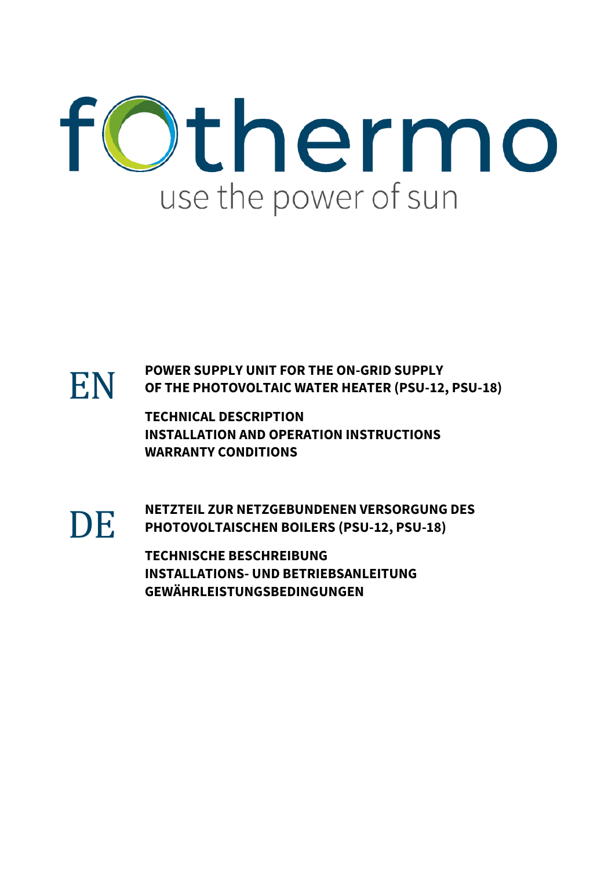



EN **POWER SUPPLY UNIT FOR THE ON-GRID SUPPLY OF THE PHOTOVOLTAIC WATER HEATER (PSU-12, PSU-18)**

**TECHNICAL DESCRIPTION INSTALLATION AND OPERATION INSTRUCTIONS WARRANTY CONDITIONS**



DE **NETZTEIL ZUR NETZGEBUNDENEN VERSORGUNG DES PHOTOVOLTAISCHEN BOILERS (PSU-12, PSU-18)**

**TECHNISCHE BESCHREIBUNG INSTALLATIONS- UND BETRIEBSANLEITUNG GEWÄHRLEISTUNGSBEDINGUNGEN**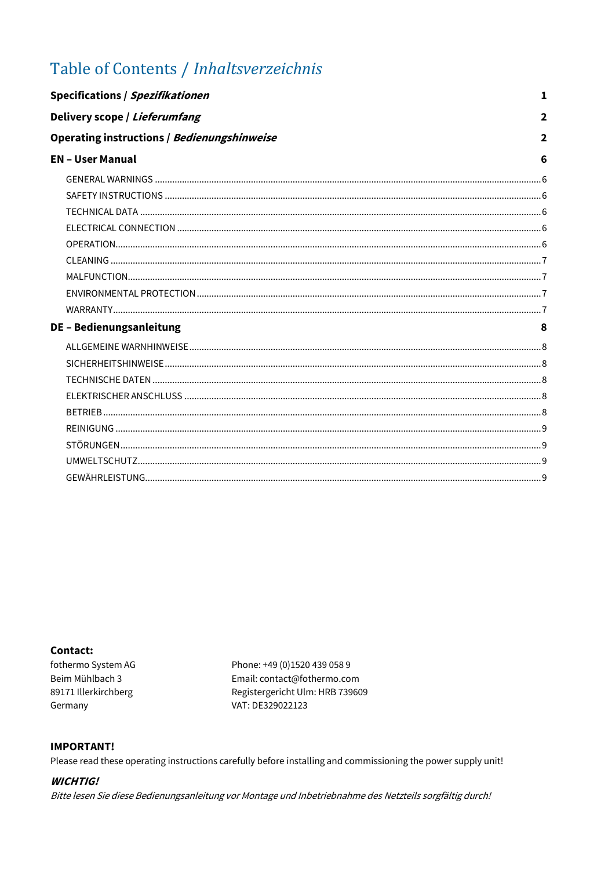# Table of Contents / Inhaltsverzeichnis

| Specifications / Spezifikationen                                                                                                                                                                                               | 1              |
|--------------------------------------------------------------------------------------------------------------------------------------------------------------------------------------------------------------------------------|----------------|
| Delivery scope / Lieferumfang                                                                                                                                                                                                  | $\overline{2}$ |
| Operating instructions / Bedienungshinweise                                                                                                                                                                                    | $\overline{2}$ |
| <b>EN - User Manual</b>                                                                                                                                                                                                        | 6              |
|                                                                                                                                                                                                                                |                |
|                                                                                                                                                                                                                                |                |
|                                                                                                                                                                                                                                |                |
|                                                                                                                                                                                                                                |                |
|                                                                                                                                                                                                                                |                |
|                                                                                                                                                                                                                                |                |
|                                                                                                                                                                                                                                |                |
|                                                                                                                                                                                                                                |                |
|                                                                                                                                                                                                                                |                |
| DE - Bedienungsanleitung                                                                                                                                                                                                       |                |
|                                                                                                                                                                                                                                |                |
|                                                                                                                                                                                                                                |                |
|                                                                                                                                                                                                                                |                |
|                                                                                                                                                                                                                                |                |
|                                                                                                                                                                                                                                |                |
|                                                                                                                                                                                                                                |                |
|                                                                                                                                                                                                                                |                |
|                                                                                                                                                                                                                                |                |
| 6 في المستندر المستندر المستندر المستندر المستندر المستندر المستندر المستندر المستندر المستندر المستندر المستندر المستندر المستندر المستندر المستندر المستندر المستندر المستندر المستندر المستندر المستندر المستندر المستندر ا |                |

### Contact:

fothermo System AG Beim Mühlbach 3 89171 Illerkirchberg Germany

Phone: +49 (0)1520 439 058 9 Email: contact@fothermo.com Registergericht Ulm: HRB 739609 VAT: DE329022123

#### **IMPORTANT!**

Please read these operating instructions carefully before installing and commissioning the power supply unit!

#### **WICHTIG!**

Bitte lesen Sie diese Bedienungsanleitung vor Montage und Inbetriebnahme des Netzteils sorgfältig durch!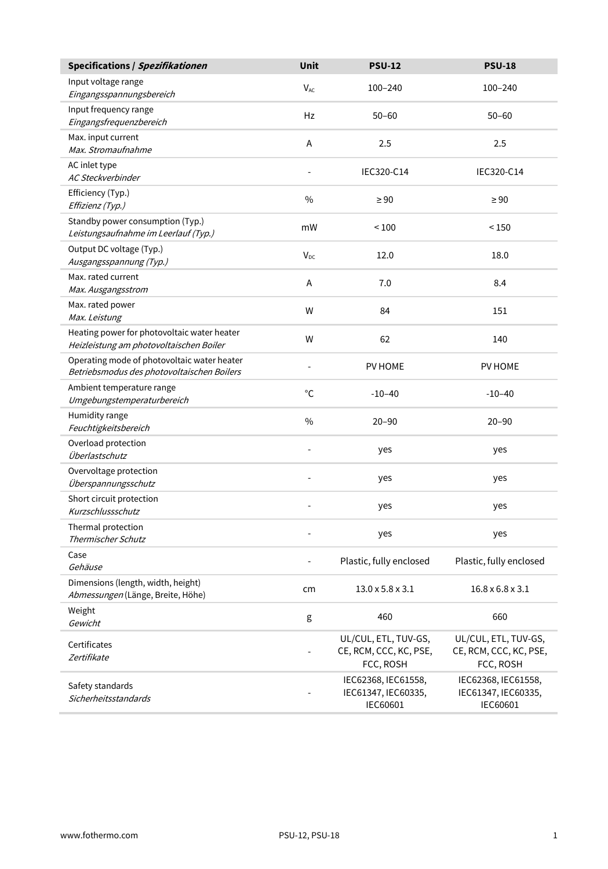<span id="page-2-0"></span>

| Specifications / Spezifikationen                                                          | Unit           | <b>PSU-12</b>                                               | <b>PSU-18</b>                                               |
|-------------------------------------------------------------------------------------------|----------------|-------------------------------------------------------------|-------------------------------------------------------------|
| Input voltage range<br>Eingangsspannungsbereich                                           | $V_{AC}$       | $100 - 240$                                                 | 100-240                                                     |
| Input frequency range<br>Eingangsfrequenzbereich                                          | Hz             | $50 - 60$                                                   | $50 - 60$                                                   |
| Max. input current<br>Max. Stromaufnahme                                                  | A              | 2.5                                                         | 2.5                                                         |
| AC inlet type<br>AC Steckverbinder                                                        | $\overline{a}$ | IEC320-C14                                                  | IEC320-C14                                                  |
| Efficiency (Typ.)<br>Effizienz (Typ.)                                                     | $\frac{0}{0}$  | $\geq 90$                                                   | $\geq 90$                                                   |
| Standby power consumption (Typ.)<br>Leistungsaufnahme im Leerlauf (Typ.)                  | mW             | < 100                                                       | < 150                                                       |
| Output DC voltage (Typ.)<br>Ausgangsspannung (Typ.)                                       | $V_{DC}$       | 12.0                                                        | 18.0                                                        |
| Max. rated current<br>Max. Ausgangsstrom                                                  | A              | 7.0                                                         | 8.4                                                         |
| Max. rated power<br>Max. Leistung                                                         | W              | 84                                                          | 151                                                         |
| Heating power for photovoltaic water heater<br>Heizleistung am photovoltaischen Boiler    | W              | 62                                                          | 140                                                         |
| Operating mode of photovoltaic water heater<br>Betriebsmodus des photovoltaischen Boilers | $\overline{a}$ | PV HOME                                                     | PV HOME                                                     |
| Ambient temperature range<br>Umgebungstemperaturbereich                                   | °C             | $-10-40$                                                    | $-10-40$                                                    |
| Humidity range<br>Feuchtigkeitsbereich                                                    | $\frac{0}{0}$  | $20 - 90$                                                   | $20 - 90$                                                   |
| Overload protection<br>Überlastschutz                                                     | L,             | yes                                                         | yes                                                         |
| Overvoltage protection<br>Überspannungsschutz                                             |                | yes                                                         | yes                                                         |
| Short circuit protection<br>Kurzschlussschutz                                             |                | yes                                                         | yes                                                         |
| Thermal protection<br>Thermischer Schutz                                                  | L,             | yes                                                         | yes                                                         |
| Case<br>Gehäuse                                                                           | $\overline{a}$ | Plastic, fully enclosed                                     | Plastic, fully enclosed                                     |
| Dimensions (length, width, height)<br>Abmessungen (Länge, Breite, Höhe)                   | cm             | $13.0 \times 5.8 \times 3.1$                                | $16.8 \times 6.8 \times 3.1$                                |
| Weight<br>Gewicht                                                                         | g              | 460                                                         | 660                                                         |
| Certificates<br>Zertifikate                                                               | $\overline{a}$ | UL/CUL, ETL, TUV-GS,<br>CE, RCM, CCC, KC, PSE,<br>FCC, ROSH | UL/CUL, ETL, TUV-GS,<br>CE, RCM, CCC, KC, PSE,<br>FCC, ROSH |
| Safety standards<br>Sicherheitsstandards                                                  |                | IEC62368, IEC61558,<br>IEC61347, IEC60335,<br>IEC60601      | IEC62368, IEC61558,<br>IEC61347, IEC60335,<br>IEC60601      |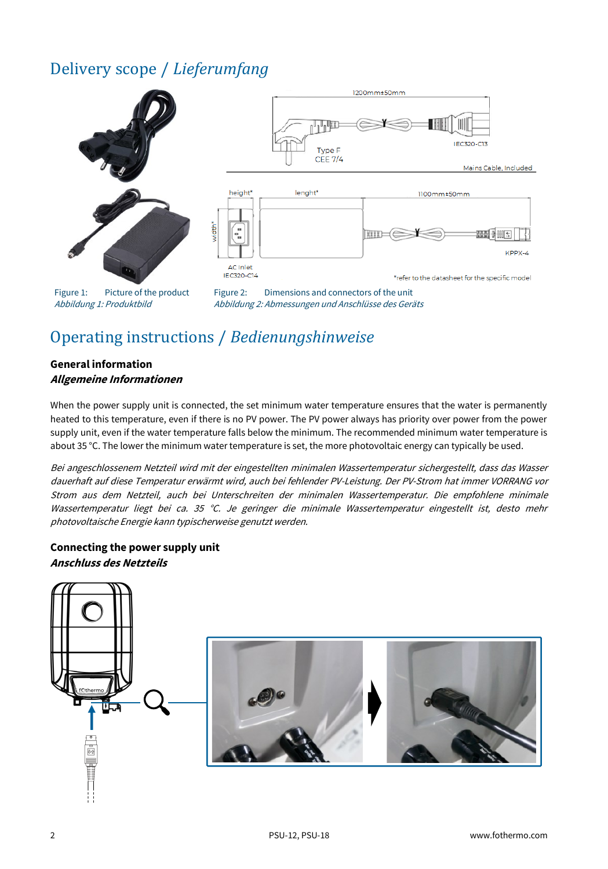# <span id="page-3-0"></span>Delivery scope / *Lieferumfang*



# <span id="page-3-1"></span>Operating instructions / *Bedienungshinweise*

#### **General information Allgemeine Informationen**

When the power supply unit is connected, the set minimum water temperature ensures that the water is permanently heated to this temperature, even if there is no PV power. The PV power always has priority over power from the power supply unit, even if the water temperature falls below the minimum. The recommended minimum water temperature is about 35 °C. The lower the minimum water temperature is set, the more photovoltaic energy can typically be used.

Bei angeschlossenem Netzteil wird mit der eingestellten minimalen Wassertemperatur sichergestellt, dass das Wasser dauerhaft auf diese Temperatur erwärmt wird, auch bei fehlender PV-Leistung. Der PV-Strom hat immer VORRANG vor Strom aus dem Netzteil, auch bei Unterschreiten der minimalen Wassertemperatur. Die empfohlene minimale Wassertemperatur liegt bei ca. 35 °C. Je geringer die minimale Wassertemperatur eingestellt ist, desto mehr photovoltaische Energie kann typischerweise genutzt werden.

#### **Connecting the power supply unit Anschluss des Netzteils**

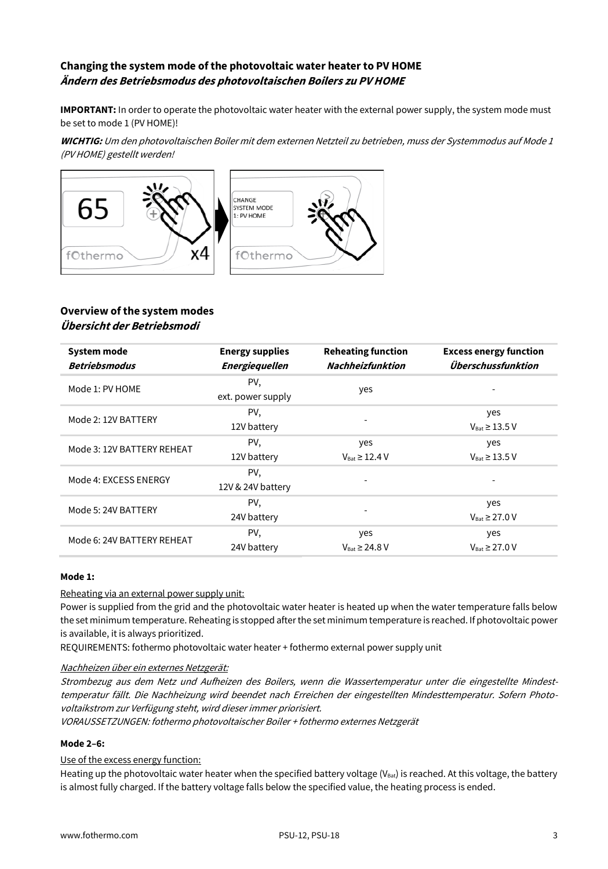### **Changing the system mode of the photovoltaic water heater to PV HOME Ändern des Betriebsmodus des photovoltaischen Boilers zu PV HOME**

**IMPORTANT:** In order to operate the photovoltaic water heater with the external power supply, the system mode must be set to mode 1 (PV HOME)!

**WICHTIG:** Um den photovoltaischen Boiler mit dem externen Netzteil zu betrieben, muss der Systemmodus auf Mode 1 (PV HOME) gestellt werden!



#### **Overview of the system modes Übersicht der Betriebsmodi**

| <b>System mode</b><br><b>Betriebsmodus</b> | <b>Energy supplies</b><br><b>Energiequellen</b> | <b>Reheating function</b><br><b>Nachheizfunktion</b> | <b>Excess energy function</b><br>Überschussfunktion |
|--------------------------------------------|-------------------------------------------------|------------------------------------------------------|-----------------------------------------------------|
| Mode 1: PV HOME                            | PV,<br>ext. power supply                        | yes                                                  |                                                     |
| Mode 2: 12V BATTERY                        | PV.<br>12V battery                              |                                                      | yes<br>$V_{\text{Rat}} \geq 13.5$ V                 |
| Mode 3: 12V BATTERY REHEAT                 | PV,<br>12V battery                              | yes<br>$V_{\text{Rat}} \geq 12.4 \text{ V}$          | yes<br>$V_{\text{Rat}} \geq 13.5 \text{ V}$         |
| Mode 4: EXCESS ENERGY                      | PV,<br>12V & 24V battery                        |                                                      |                                                     |
| Mode 5: 24V BATTERY                        | PV,<br>24V battery                              |                                                      | yes<br>$V_{\text{Rat}} \geq 27.0 V$                 |
| Mode 6: 24V BATTERY REHEAT                 | PV,<br>24V battery                              | yes<br>$V_{\text{Rat}} \ge 24.8 \text{ V}$           | yes<br>$V_{\text{Rat}} \geq 27.0 V$                 |

#### **Mode 1:**

#### Reheating via an external power supply unit:

Power is supplied from the grid and the photovoltaic water heater is heated up when the water temperature falls below the set minimum temperature. Reheating is stopped after the set minimum temperature is reached. If photovoltaic power is available, it is always prioritized.

REQUIREMENTS: fothermo photovoltaic water heater + fothermo external power supply unit

#### Nachheizen über ein externes Netzgerät:

Strombezug aus dem Netz und Aufheizen des Boilers, wenn die Wassertemperatur unter die eingestellte Mindesttemperatur fällt. Die Nachheizung wird beendet nach Erreichen der eingestellten Mindesttemperatur. Sofern Photovoltaikstrom zur Verfügung steht, wird dieser immer priorisiert.

VORAUSSETZUNGEN: fothermo photovoltaischer Boiler + fothermo externes Netzgerät

#### **Mode 2–6:**

#### Use of the excess energy function:

Heating up the photovoltaic water heater when the specified battery voltage ( $V_{\text{bat}}$ ) is reached. At this voltage, the battery is almost fully charged. If the battery voltage falls below the specified value, the heating process is ended.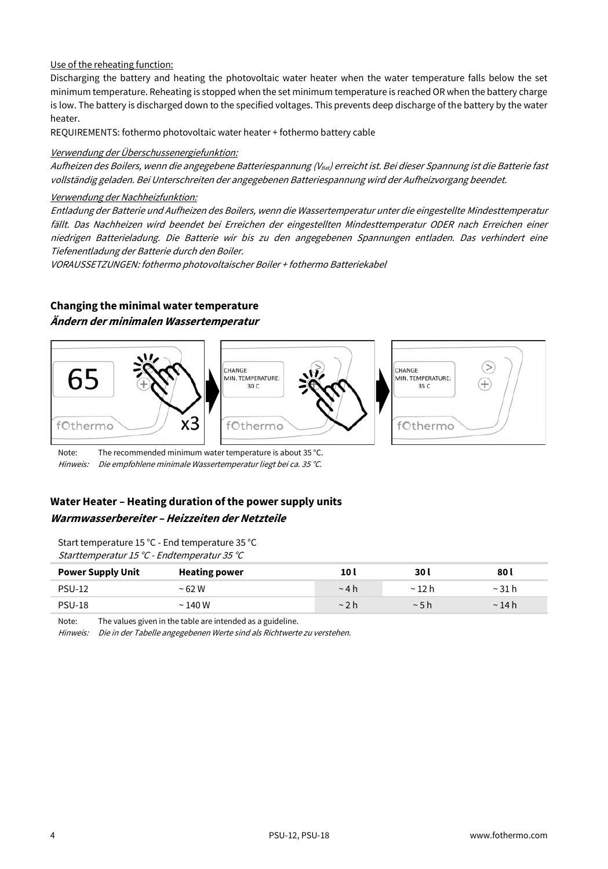#### Use of the reheating function:

Discharging the battery and heating the photovoltaic water heater when the water temperature falls below the set minimum temperature. Reheating is stopped when the set minimum temperature is reached OR when the battery charge is low. The battery is discharged down to the specified voltages. This prevents deep discharge of the battery by the water heater.

REQUIREMENTS: fothermo photovoltaic water heater + fothermo battery cable

#### Verwendung der Überschussenergiefunktion:

Aufheizen des Boilers, wenn die angegebene Batteriespannung (Vaat) erreicht ist. Bei dieser Spannung ist die Batterie fast vollständig geladen. Bei Unterschreiten der angegebenen Batteriespannung wird der Aufheizvorgang beendet.

#### Verwendung der Nachheizfunktion:

Entladung der Batterie und Aufheizen des Boilers, wenn die Wassertemperatur unter die eingestellte Mindesttemperatur fällt. Das Nachheizen wird beendet bei Erreichen der eingestellten Mindesttemperatur ODER nach Erreichen einer niedrigen Batterieladung. Die Batterie wir bis zu den angegebenen Spannungen entladen. Das verhindert eine Tiefenentladung der Batterie durch den Boiler.

VORAUSSETZUNGEN: fothermo photovoltaischer Boiler + fothermo Batteriekabel

### **Changing the minimal water temperature Ändern der minimalen Wassertemperatur**



Note: The recommended minimum water temperature is about 35 °C. Hinweis: Die empfohlene minimale Wassertemperatur liegt bei ca. 35 °C.

### **Water Heater – Heating duration of the power supply units Warmwasserbereiter – Heizzeiten der Netzteile**

Start temperature 15 °C - End temperature 35 °C Starttemperatur 15 °C - Endtemperatur 35 °C

| <b>Power Supply Unit</b> | <b>Heating power</b> | 10 I        | 30 I        | 80 l        |
|--------------------------|----------------------|-------------|-------------|-------------|
| <b>PSU-12</b>            | $~5$ 62 W            | $~\sim$ 4 h | $\sim$ 12 h | $\sim$      |
| <b>PSU-18</b>            | $\sim$ 140 W         | $\sim$ 2 h  | ~5h         | $\sim$ 14 h |

Note: The values given in the table are intended as a guideline.

Hinweis: Die in der Tabelle angegebenen Werte sind als Richtwerte zu verstehen.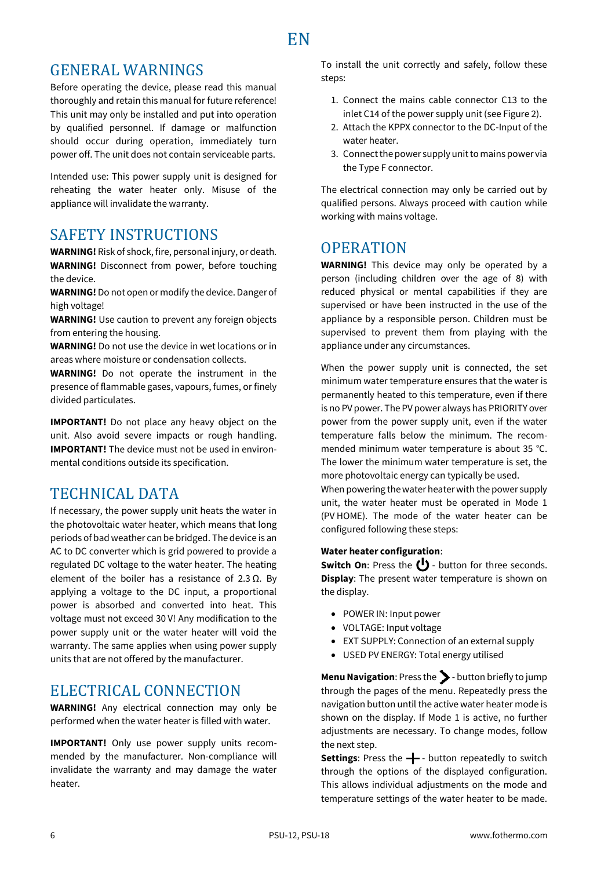### <span id="page-7-1"></span><span id="page-7-0"></span>GENERAL WARNINGS

Before operating the device, please read this manual thoroughly and retain this manual for future reference! This unit may only be installed and put into operation by qualified personnel. If damage or malfunction should occur during operation, immediately turn power off. The unit does not contain serviceable parts.

Intended use: This power supply unit is designed for reheating the water heater only. Misuse of the appliance will invalidate the warranty.

### <span id="page-7-2"></span>SAFETY INSTRUCTIONS

**WARNING!** Risk of shock, fire, personal injury, or death. **WARNING!** Disconnect from power, before touching the device.

**WARNING!**Do not open or modify the device. Danger of high voltage!

**WARNING!** Use caution to prevent any foreign objects from entering the housing.

**WARNING!** Do not use the device in wet locations or in areas where moisture or condensation collects.

**WARNING!** Do not operate the instrument in the presence of flammable gases, vapours, fumes, or finely divided particulates.

**IMPORTANT!** Do not place any heavy object on the unit. Also avoid severe impacts or rough handling. **IMPORTANT!** The device must not be used in environmental conditions outside its specification.

## <span id="page-7-3"></span>TECHNICAL DATA

If necessary, the power supply unit heats the water in the photovoltaic water heater, which means that long periods of bad weather can be bridged. The device is an AC to DC converter which is grid powered to provide a regulated DC voltage to the water heater. The heating element of the boiler has a resistance of 2.3 Ω. By applying a voltage to the DC input, a proportional power is absorbed and converted into heat. This voltage must not exceed 30 V! Any modification to the power supply unit or the water heater will void the warranty. The same applies when using power supply units that are not offered by the manufacturer.

### <span id="page-7-4"></span>ELECTRICAL CONNECTION

**WARNING!** Any electrical connection may only be performed when the water heater is filled with water.

**IMPORTANT!** Only use power supply units recommended by the manufacturer. Non-compliance will invalidate the warranty and may damage the water heater.

To install the unit correctly and safely, follow these steps:

- 1. Connect the mains cable connector C13 to the inlet C14 of the power supply unit (see Figure 2).
- 2. Attach the KPPX connector to the DC-Input of the water heater.
- 3. Connect the power supply unit to mains power via the Type F connector.

The electrical connection may only be carried out by qualified persons. Always proceed with caution while working with mains voltage.

### <span id="page-7-5"></span>**OPERATION**

**WARNING!** This device may only be operated by a person (including children over the age of 8) with reduced physical or mental capabilities if they are supervised or have been instructed in the use of the appliance by a responsible person. Children must be supervised to prevent them from playing with the appliance under any circumstances.

When the power supply unit is connected, the set minimum water temperature ensures that the water is permanently heated to this temperature, even if there is no PV power. The PV power always has PRIORITY over power from the power supply unit, even if the water temperature falls below the minimum. The recommended minimum water temperature is about 35 °C. The lower the minimum water temperature is set, the more photovoltaic energy can typically be used.

When powering the water heater with the power supply unit, the water heater must be operated in Mode 1 (PV HOME). The mode of the water heater can be configured following these steps:

#### **Water heater configuration**:

**Switch On:** Press the (<sup>1</sup>) - button for three seconds. **Display**: The present water temperature is shown on the display.

- POWER IN: Input power
- VOLTAGE: Input voltage
- EXT SUPPLY: Connection of an external supply
- USED PV ENERGY: Total energy utilised

**Menu Navigation**: Press the > button briefly to jump through the pages of the menu. Repeatedly press the navigation button until the active water heater mode is shown on the display. If Mode 1 is active, no further adjustments are necessary. To change modes, follow the next step.

Settings: Press the  $\leftarrow$  - button repeatedly to switch through the options of the displayed configuration. This allows individual adjustments on the mode and temperature settings of the water heater to be made.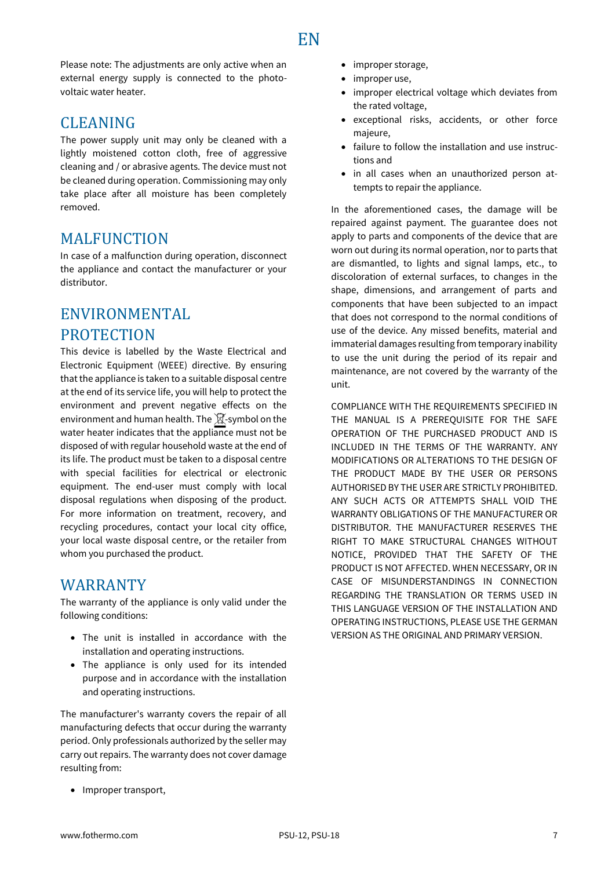# **EN**

Please note: The adjustments are only active when an external energy supply is connected to the photovoltaic water heater.

### <span id="page-8-0"></span>CLEANING

The power supply unit may only be cleaned with a lightly moistened cotton cloth, free of aggressive cleaning and / or abrasive agents. The device must not be cleaned during operation. Commissioning may only take place after all moisture has been completely removed.

### <span id="page-8-1"></span>**MALFUNCTION**

In case of a malfunction during operation, disconnect the appliance and contact the manufacturer or your distributor.

# <span id="page-8-2"></span>ENVIRONMENTAL

### **PROTECTION**

This device is labelled by the Waste Electrical and Electronic Equipment (WEEE) directive. By ensuring that the appliance is taken to a suitable disposal centre at the end of its service life, you will help to protect the environment and prevent negative effects on the environment and human health. The  $\mathbb X$ -symbol on the water heater indicates that the appliance must not be disposed of with regular household waste at the end of its life. The product must be taken to a disposal centre with special facilities for electrical or electronic equipment. The end-user must comply with local disposal regulations when disposing of the product. For more information on treatment, recovery, and recycling procedures, contact your local city office, your local waste disposal centre, or the retailer from whom you purchased the product.

### <span id="page-8-3"></span>WARRANTY

The warranty of the appliance is only valid under the following conditions:

- The unit is installed in accordance with the installation and operating instructions.
- The appliance is only used for its intended purpose and in accordance with the installation and operating instructions.

The manufacturer's warranty covers the repair of all manufacturing defects that occur during the warranty period. Only professionals authorized by the seller may carry out repairs. The warranty does not cover damage resulting from:

- improper storage,
- improper use,
- improper electrical voltage which deviates from the rated voltage,
- exceptional risks, accidents, or other force majeure,
- failure to follow the installation and use instructions and
- in all cases when an unauthorized person attempts to repair the appliance.

In the aforementioned cases, the damage will be repaired against payment. The guarantee does not apply to parts and components of the device that are worn out during its normal operation, nor to parts that are dismantled, to lights and signal lamps, etc., to discoloration of external surfaces, to changes in the shape, dimensions, and arrangement of parts and components that have been subjected to an impact that does not correspond to the normal conditions of use of the device. Any missed benefits, material and immaterial damages resulting from temporary inability to use the unit during the period of its repair and maintenance, are not covered by the warranty of the unit.

COMPLIANCE WITH THE REQUIREMENTS SPECIFIED IN THE MANUAL IS A PREREQUISITE FOR THE SAFE OPERATION OF THE PURCHASED PRODUCT AND IS INCLUDED IN THE TERMS OF THE WARRANTY. ANY MODIFICATIONS OR ALTERATIONS TO THE DESIGN OF THE PRODUCT MADE BY THE USER OR PERSONS AUTHORISED BY THE USER ARE STRICTLY PROHIBITED. ANY SUCH ACTS OR ATTEMPTS SHALL VOID THE WARRANTY OBLIGATIONS OF THE MANUFACTURER OR DISTRIBUTOR. THE MANUFACTURER RESERVES THE RIGHT TO MAKE STRUCTURAL CHANGES WITHOUT NOTICE, PROVIDED THAT THE SAFETY OF THE PRODUCT IS NOT AFFECTED. WHEN NECESSARY, OR IN CASE OF MISUNDERSTANDINGS IN CONNECTION REGARDING THE TRANSLATION OR TERMS USED IN THIS LANGUAGE VERSION OF THE INSTALLATION AND OPERATING INSTRUCTIONS, PLEASE USE THE GERMAN VERSION AS THE ORIGINAL AND PRIMARY VERSION.

• Improper transport,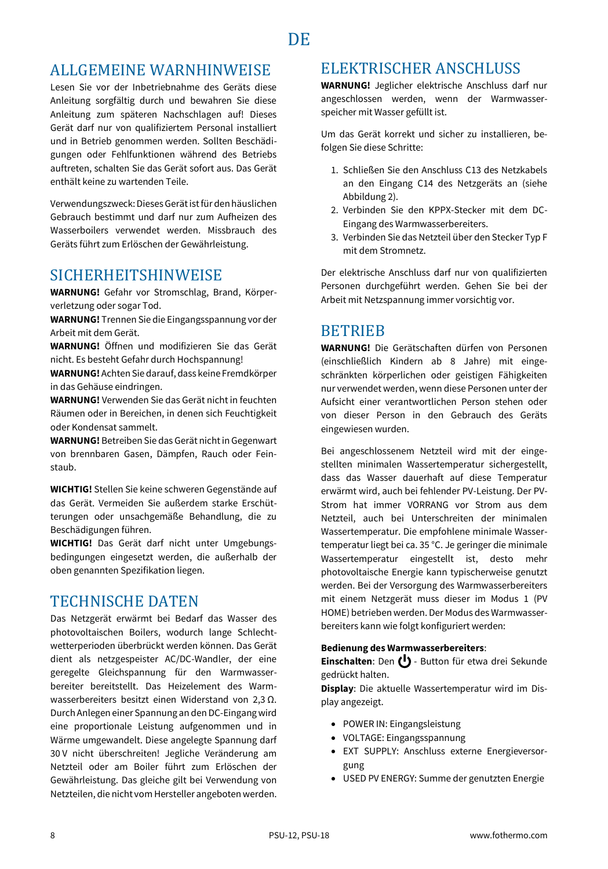### <span id="page-9-1"></span><span id="page-9-0"></span>ALLGEMEINE WARNHINWEISE

Lesen Sie vor der Inbetriebnahme des Geräts diese Anleitung sorgfältig durch und bewahren Sie diese Anleitung zum späteren Nachschlagen auf! Dieses Gerät darf nur von qualifiziertem Personal installiert und in Betrieb genommen werden. Sollten Beschädigungen oder Fehlfunktionen während des Betriebs auftreten, schalten Sie das Gerät sofort aus. Das Gerät enthält keine zu wartenden Teile.

Verwendungszweck: Dieses Gerät ist für den häuslichen Gebrauch bestimmt und darf nur zum Aufheizen des Wasserboilers verwendet werden. Missbrauch des Geräts führt zum Erlöschen der Gewährleistung.

### <span id="page-9-2"></span>SICHERHEITSHINWEISE

**WARNUNG!** Gefahr vor Stromschlag, Brand, Körperverletzung oder sogar Tod.

**WARNUNG!** Trennen Sie die Eingangsspannung vor der Arbeit mit dem Gerät.

**WARNUNG!** Öffnen und modifizieren Sie das Gerät nicht. Es besteht Gefahr durch Hochspannung!

**WARNUNG!** Achten Sie darauf, dass keine Fremdkörper in das Gehäuse eindringen.

**WARNUNG!** Verwenden Sie das Gerät nicht in feuchten Räumen oder in Bereichen, in denen sich Feuchtigkeit oder Kondensat sammelt.

**WARNUNG!** Betreiben Sie das Gerät nicht in Gegenwart von brennbaren Gasen, Dämpfen, Rauch oder Feinstaub.

**WICHTIG!** Stellen Sie keine schweren Gegenstände auf das Gerät. Vermeiden Sie außerdem starke Erschütterungen oder unsachgemäße Behandlung, die zu Beschädigungen führen.

**WICHTIG!** Das Gerät darf nicht unter Umgebungsbedingungen eingesetzt werden, die außerhalb der oben genannten Spezifikation liegen.

### <span id="page-9-3"></span>TECHNISCHE DATEN

Das Netzgerät erwärmt bei Bedarf das Wasser des photovoltaischen Boilers, wodurch lange Schlechtwetterperioden überbrückt werden können. Das Gerät dient als netzgespeister AC/DC-Wandler, der eine geregelte Gleichspannung für den Warmwasserbereiter bereitstellt. Das Heizelement des Warmwasserbereiters besitzt einen Widerstand von 2,3 Ω. Durch Anlegen einer Spannung an den DC-Eingang wird eine proportionale Leistung aufgenommen und in Wärme umgewandelt. Diese angelegte Spannung darf 30 V nicht überschreiten! Jegliche Veränderung am Netzteil oder am Boiler führt zum Erlöschen der Gewährleistung. Das gleiche gilt bei Verwendung von Netzteilen, die nicht vom Hersteller angeboten werden.

### <span id="page-9-4"></span>ELEKTRISCHER ANSCHLUSS

**WARNUNG!** Jeglicher elektrische Anschluss darf nur angeschlossen werden, wenn der Warmwasserspeicher mit Wasser gefüllt ist.

Um das Gerät korrekt und sicher zu installieren, befolgen Sie diese Schritte:

- 1. Schließen Sie den Anschluss C13 des Netzkabels an den Eingang C14 des Netzgeräts an (siehe Abbildung 2).
- 2. Verbinden Sie den KPPX-Stecker mit dem DC-Eingang des Warmwasserbereiters.
- 3. Verbinden Sie das Netzteil über den Stecker Typ F mit dem Stromnetz.

Der elektrische Anschluss darf nur von qualifizierten Personen durchgeführt werden. Gehen Sie bei der Arbeit mit Netzspannung immer vorsichtig vor.

### <span id="page-9-5"></span>**BETRIEB**

**WARNUNG!** Die Gerätschaften dürfen von Personen (einschließlich Kindern ab 8 Jahre) mit eingeschränkten körperlichen oder geistigen Fähigkeiten nur verwendet werden, wenn diese Personen unter der Aufsicht einer verantwortlichen Person stehen oder von dieser Person in den Gebrauch des Geräts eingewiesen wurden.

Bei angeschlossenem Netzteil wird mit der eingestellten minimalen Wassertemperatur sichergestellt, dass das Wasser dauerhaft auf diese Temperatur erwärmt wird, auch bei fehlender PV-Leistung. Der PV-Strom hat immer VORRANG vor Strom aus dem Netzteil, auch bei Unterschreiten der minimalen Wassertemperatur. Die empfohlene minimale Wassertemperatur liegt bei ca. 35 °C. Je geringer die minimale Wassertemperatur eingestellt ist, desto mehr photovoltaische Energie kann typischerweise genutzt werden. Bei der Versorgung des Warmwasserbereiters mit einem Netzgerät muss dieser im Modus 1 (PV HOME) betrieben werden. Der Modus des Warmwasserbereiters kann wie folgt konfiguriert werden:

#### **Bedienung des Warmwasserbereiters**:

Einschalten: Den (<sup>|</sup>) - Button für etwa drei Sekunde gedrückt halten.

**Display**: Die aktuelle Wassertemperatur wird im Display angezeigt.

- POWER IN: Eingangsleistung
- VOLTAGE: Eingangsspannung
- EXT SUPPLY: Anschluss externe Energieversorgung
- USED PV ENERGY: Summe der genutzten Energie